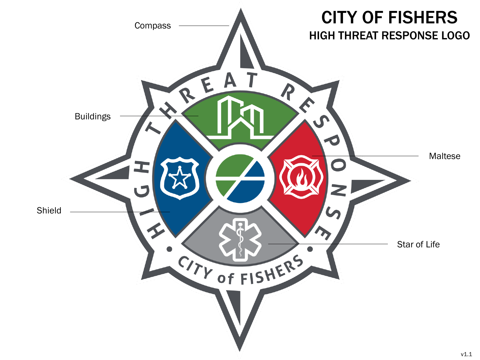